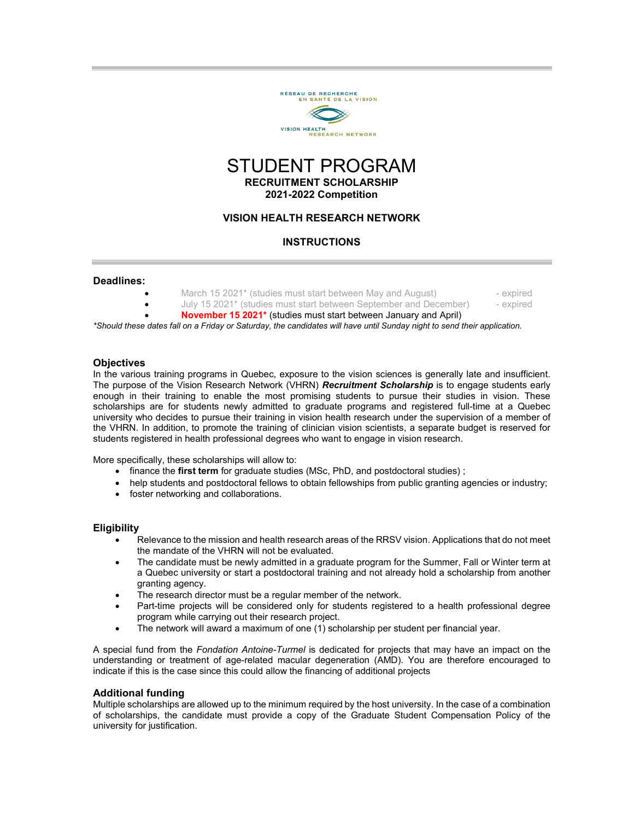

# STUDENT PROGRAM **RECRUITMENT SCHOLARSHIP 2021-2022 Competition**

## **VISION HEALTH RESEARCH NETWORK**

## **INSTRUCTIONS**

#### **Deadlines:**

- March 15 2021\* (studies must start between May and August)  **expired** 
	-
- July 15 2021\* (studies must start between September and December) expired • **November 15 2021\*** (studies must start between January and April)

*\*Should these dates fall on a Friday or Saturday, the candidates will have until Sunday night to send their application.*

#### **Objectives**

In the various training programs in Quebec, exposure to the vision sciences is generally late and insufficient. The purpose of the Vision Research Network (VHRN) *Recruitment Scholarship* is to engage students early enough in their training to enable the most promising students to pursue their studies in vision. These scholarships are for students newly admitted to graduate programs and registered full-time at a Quebec university who decides to pursue their training in vision health research under the supervision of a member of the VHRN. In addition, to promote the training of clinician vision scientists, a separate budget is reserved for students registered in health professional degrees who want to engage in vision research.

More specifically, these scholarships will allow to:

- finance the **first term** for graduate studies (MSc, PhD, and postdoctoral studies) ;
- help students and postdoctoral fellows to obtain fellowships from public granting agencies or industry;
- foster networking and collaborations.

### **Eligibility**

- Relevance to the mission and health research areas of the RRSV vision. Applications that do not meet the mandate of the VHRN will not be evaluated.
- The candidate must be newly admitted in a graduate program for the Summer, Fall or Winter term at a Quebec university or start a postdoctoral training and not already hold a scholarship from another granting agency.
- The research director must be a regular member of the network.
- Part-time projects will be considered only for students registered to a health professional degree program while carrying out their research project.
- The network will award a maximum of one (1) scholarship per student per financial year.

A special fund from the *Fondation Antoine-Turmel* is dedicated for projects that may have an impact on the understanding or treatment of age-related macular degeneration (AMD). You are therefore encouraged to indicate if this is the case since this could allow the financing of additional projects

### **Additional funding**

Multiple scholarships are allowed up to the minimum required by the host university. In the case of a combination of scholarships, the candidate must provide a copy of the Graduate Student Compensation Policy of the university for justification.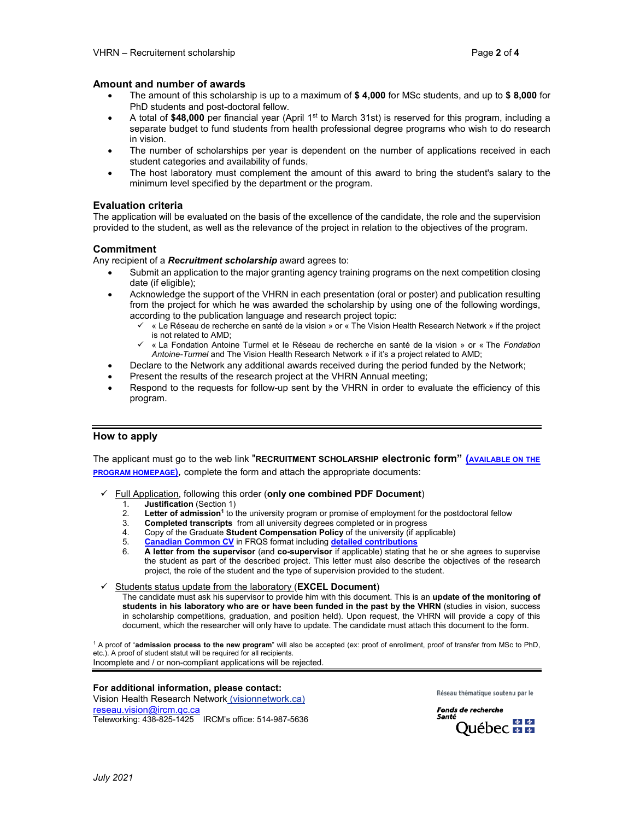### **Amount and number of awards**

- The amount of this scholarship is up to a maximum of **\$ 4,000** for MSc students, and up to **\$ 8,000** for PhD students and post-doctoral fellow.
- A total of \$48,000 per financial year (April 1<sup>st</sup> to March 31st) is reserved for this program, including a separate budget to fund students from health professional degree programs who wish to do research in vision.
- The number of scholarships per year is dependent on the number of applications received in each student categories and availability of funds.
- The host laboratory must complement the amount of this award to bring the student's salary to the minimum level specified by the department or the program.

#### **Evaluation criteria**

The application will be evaluated on the basis of the excellence of the candidate, the role and the supervision provided to the student, as well as the relevance of the project in relation to the objectives of the program.

### **Commitment**

Any recipient of a *Recruitment scholarship* award agrees to:

- Submit an application to the major granting agency training programs on the next competition closing date (if eligible);
- Acknowledge the support of the VHRN in each presentation (oral or poster) and publication resulting from the project for which he was awarded the scholarship by using one of the following wordings, according to the publication language and research project topic:
	- « Le Réseau de recherche en santé de la vision » or « The Vision Health Research Network » if the project is not related to AMD;
	- « La Fondation Antoine Turmel et le Réseau de recherche en santé de la vision » or « The *Fondation Antoine-Turmel* and The Vision Health Research Network » if it's a project related to AMD;
- Declare to the Network any additional awards received during the period funded by the Network;
- Present the results of the research project at the VHRN Annual meeting;
- Respond to the requests for follow-up sent by the VHRN in order to evaluate the efficiency of this program.

### **How to apply**

The applicant must go to the web link "**RECRUITMENT SCHOLARSHIP electronic form" [\(AVAILABLE ON THE](http://visionnetwork.ca/financement/recrutement/) [PROGRAM HOMEPAGE\)](http://visionnetwork.ca/financement/recrutement/)***,* complete the form and attach the appropriate documents:

- Full Application, following this order (**only one combined PDF Document**)
	- 1. **Justification** (Section 1)<br>2. **Letter of admission<sup>1</sup> to t**
	- 2. **Letter of admission<sup>1</sup>** to the university program or promise of employment for the postdoctoral fellow 3. **Completed transcripts** from all university degrees completed or in progress
	- 3. **Completed transcripts** from all university degrees completed or in progress
	- 4. Copy of the Graduate **Student Compensation Policy** of the university (if applicable)<br>5. **Canadian Common CV** in FRQS format including detailed contributions
	- 5. **[Canadian Common CV](https://ccv-cvc.ca/)** in FRQS format including **[detailed contributions](http://reseauvision.ca/wp-content/uploads/2021/07/directives_contributions_detaillees_frqs-2020.pdf)**
	- 6. **A letter from the supervisor** (and **co-supervisor** if applicable) stating that he or she agrees to supervise the student as part of the described project. This letter must also describe the objectives of the research project, the role of the student and the type of supervision provided to the student.

#### Students status update from the laboratory (**EXCEL Document**)

The candidate must ask his supervisor to provide him with this document. This is an **update of the monitoring of students in his laboratory who are or have been funded in the past by the VHRN** (studies in vision, success in scholarship competitions, graduation, and position held). Upon request, the VHRN will provide a copy of this document, which the researcher will only have to update. The candidate must attach this document to the form.

<sup>1</sup> A proof of "**admission process to the new program**" will also be accepted (ex: proof of enrollment, proof of transfer from MSc to PhD, etc.). A proof of student statut will be required for all recipients. Incomplete and / or non-compliant applications will be rejected.

### **For additional information, please contact:**

Vision Health Research Network (visionnetwork.ca) [reseau.vision@ircm.qc.ca](mailto:reseau.vision@ircm.qc.ca) Teleworking: 438-825-1425 IRCM's office: 514-987-5636 Réseau thématique soutenu par le

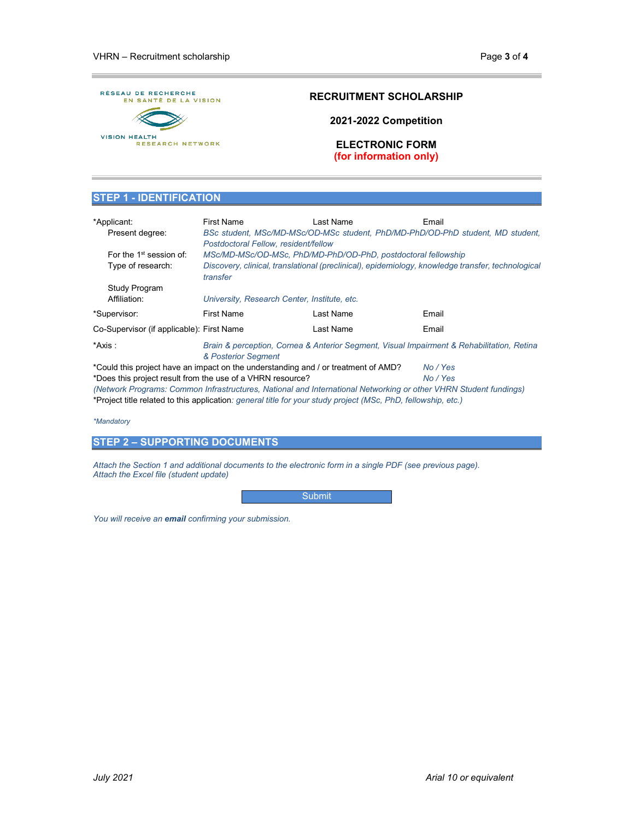

# **RECRUITMENT SCHOLARSHIP**

**2021-2022 Competition**

**ELECTRONIC FORM (for information only)**

### **STEP 1 - IDENTIFICATION**

| *Applicant:<br>Present degree:                                                                                   | First Name<br>Postdoctoral Fellow, resident/fellow                                                               | Last Name | Email<br>BSc student, MSc/MD-MSc/OD-MSc student, PhD/MD-PhD/OD-PhD student, MD student, |
|------------------------------------------------------------------------------------------------------------------|------------------------------------------------------------------------------------------------------------------|-----------|-----------------------------------------------------------------------------------------|
| For the $1st$ session of:                                                                                        | MSc/MD-MSc/OD-MSc, PhD/MD-PhD/OD-PhD, postdoctoral fellowship                                                    |           |                                                                                         |
| Type of research:                                                                                                | Discovery, clinical, translational (preclinical), epidemiology, knowledge transfer, technological<br>transfer    |           |                                                                                         |
| Study Program                                                                                                    |                                                                                                                  |           |                                                                                         |
| Affiliation:                                                                                                     | University, Research Center, Institute, etc.                                                                     |           |                                                                                         |
| *Supervisor:                                                                                                     | <b>First Name</b>                                                                                                | Last Name | Email                                                                                   |
| Co-Supervisor (if applicable): First Name                                                                        |                                                                                                                  | Last Name | Email                                                                                   |
| *Axis :                                                                                                          | Brain & perception, Cornea & Anterior Segment, Visual Impairment & Rehabilitation, Retina<br>& Posterior Segment |           |                                                                                         |
| *Could this project have an impact on the understanding and / or treatment of AMD?<br>No / Yes                   |                                                                                                                  |           |                                                                                         |
| *Does this project result from the use of a VHRN resource?                                                       |                                                                                                                  |           | No / Yes                                                                                |
| (Network Programs: Common Infrastructures, National and International Networking or other VHRN Student fundings) |                                                                                                                  |           |                                                                                         |
| *Project title related to this application: general title for your study project (MSc, PhD, fellowship, etc.)    |                                                                                                                  |           |                                                                                         |

*\*Mandatory*

**STEP 2 – SUPPORTING DOCUMENTS**

*Attach the Section 1 and additional documents to the electronic form in a single PDF (see previous page). Attach the Excel file (student update)*

Submit

*You will receive an email confirming your submission.*